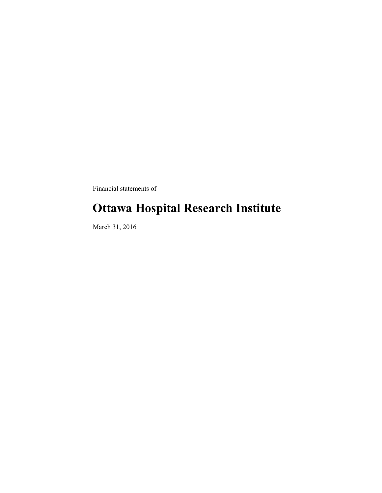Financial statements of

### **Ottawa Hospital Research Institute**

March 31, 2016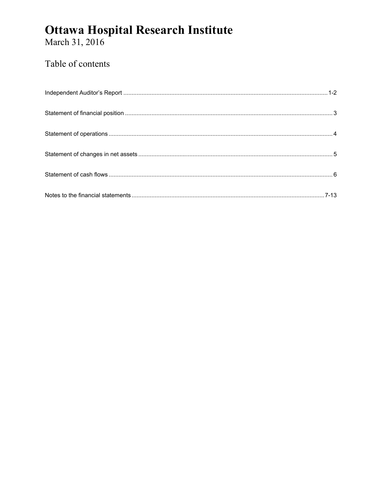# **Ottawa Hospital Research Institute**<br>March 31, 2016

### Table of contents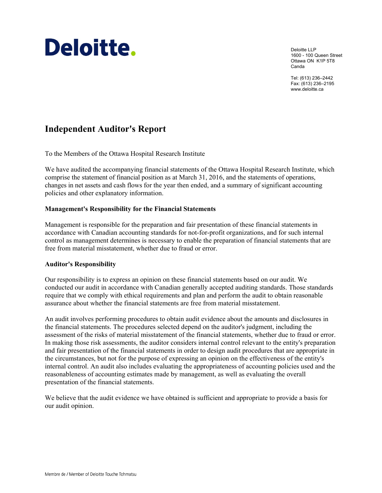## Deloitte.

Deloitte LLP 1600 - 100 Queen Street Ottawa ON K1P 5T8 Canda

Tel: (613) 236–2442 Fax: (613) 236–2195 www.deloitte.ca

### **Independent Auditor's Report**

To the Members of the Ottawa Hospital Research Institute

We have audited the accompanying financial statements of the Ottawa Hospital Research Institute, which comprise the statement of financial position as at March 31, 2016, and the statements of operations, changes in net assets and cash flows for the year then ended, and a summary of significant accounting policies and other explanatory information.

#### **Management's Responsibility for the Financial Statements**

Management is responsible for the preparation and fair presentation of these financial statements in accordance with Canadian accounting standards for not-for-profit organizations, and for such internal control as management determines is necessary to enable the preparation of financial statements that are free from material misstatement, whether due to fraud or error.

#### **Auditor's Responsibility**

Our responsibility is to express an opinion on these financial statements based on our audit. We conducted our audit in accordance with Canadian generally accepted auditing standards. Those standards require that we comply with ethical requirements and plan and perform the audit to obtain reasonable assurance about whether the financial statements are free from material misstatement.

An audit involves performing procedures to obtain audit evidence about the amounts and disclosures in the financial statements. The procedures selected depend on the auditor's judgment, including the assessment of the risks of material misstatement of the financial statements, whether due to fraud or error. In making those risk assessments, the auditor considers internal control relevant to the entity's preparation and fair presentation of the financial statements in order to design audit procedures that are appropriate in the circumstances, but not for the purpose of expressing an opinion on the effectiveness of the entity's internal control. An audit also includes evaluating the appropriateness of accounting policies used and the reasonableness of accounting estimates made by management, as well as evaluating the overall presentation of the financial statements.

We believe that the audit evidence we have obtained is sufficient and appropriate to provide a basis for our audit opinion.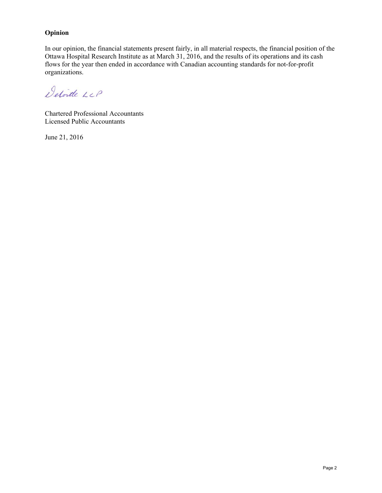#### **Opinion**

In our opinion, the financial statements present fairly, in all material respects, the financial position of the Ottawa Hospital Research Institute as at March 31, 2016, and the results of its operations and its cash flows for the year then ended in accordance with Canadian accounting standards for not-for-profit organizations.

Detoite LLP

Chartered Professional Accountants Licensed Public Accountants

June 21, 2016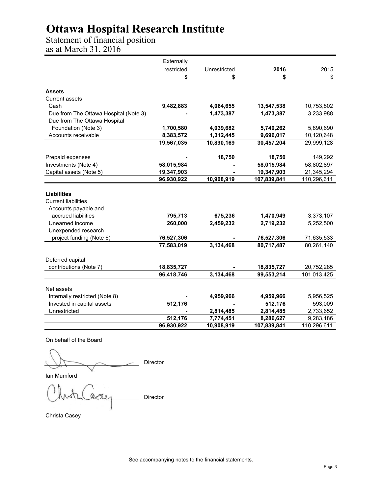Statement of financial position as at March 31, 2016

|                                       | Externally |              |             |             |
|---------------------------------------|------------|--------------|-------------|-------------|
|                                       | restricted | Unrestricted | 2016        | 2015        |
|                                       | \$         | \$           | \$          | \$          |
| <b>Assets</b>                         |            |              |             |             |
| <b>Current assets</b>                 |            |              |             |             |
| Cash                                  | 9,482,883  | 4,064,655    | 13,547,538  | 10,753,802  |
| Due from The Ottawa Hospital (Note 3) |            | 1,473,387    | 1,473,387   | 3,233,988   |
| Due from The Ottawa Hospital          |            |              |             |             |
| Foundation (Note 3)                   | 1,700,580  | 4,039,682    | 5,740,262   | 5,890,690   |
| Accounts receivable                   | 8,383,572  | 1,312,445    | 9,696,017   | 10,120,648  |
|                                       | 19,567,035 | 10,890,169   | 30,457,204  | 29,999,128  |
| Prepaid expenses                      |            | 18,750       | 18,750      | 149,292     |
| Investments (Note 4)                  | 58,015,984 |              | 58,015,984  | 58,802,897  |
| Capital assets (Note 5)               | 19,347,903 |              | 19,347,903  | 21,345,294  |
|                                       | 96,930,922 | 10,908,919   | 107,839,841 | 110,296,611 |
|                                       |            |              |             |             |
| <b>Liabilities</b>                    |            |              |             |             |
| <b>Current liabilities</b>            |            |              |             |             |
| Accounts payable and                  |            |              |             |             |
| accrued liabilities                   | 795,713    | 675,236      | 1,470,949   | 3,373,107   |
| Unearned income                       | 260,000    | 2,459,232    | 2,719,232   | 5,252,500   |
| Unexpended research                   |            |              |             |             |
| project funding (Note 6)              | 76,527,306 |              | 76,527,306  | 71,635,533  |
|                                       | 77,583,019 | 3,134,468    | 80,717,487  | 80,261,140  |
| Deferred capital                      |            |              |             |             |
| contributions (Note 7)                | 18,835,727 |              | 18,835,727  | 20,752,285  |
|                                       | 96,418,746 | 3,134,468    | 99,553,214  | 101,013,425 |
| Net assets                            |            |              |             |             |
| Internally restricted (Note 8)        |            | 4,959,966    | 4,959,966   | 5,956,525   |
| Invested in capital assets            | 512,176    |              | 512,176     | 593,009     |
| Unrestricted                          |            | 2,814,485    | 2,814,485   | 2,733,652   |
|                                       | 512,176    | 7,774,451    | 8,286,627   | 9,283,186   |
|                                       | 96,930,922 | 10,908,919   | 107,839,841 | 110,296,611 |

On behalf of the Board

Director

Ian Mumford

Director

Christa Casey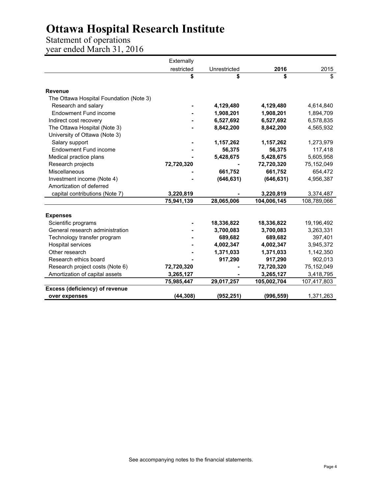Statement of operations year ended March 31, 2016

|                                         | Externally |              |             |             |
|-----------------------------------------|------------|--------------|-------------|-------------|
|                                         | restricted | Unrestricted | 2016        | 2015        |
|                                         | \$         | \$           | \$          | \$          |
| <b>Revenue</b>                          |            |              |             |             |
| The Ottawa Hospital Foundation (Note 3) |            |              |             |             |
| Research and salary                     |            | 4,129,480    | 4,129,480   | 4,614,840   |
| <b>Endowment Fund income</b>            |            | 1,908,201    | 1,908,201   | 1,894,709   |
| Indirect cost recovery                  |            | 6,527,692    | 6,527,692   | 6,578,835   |
| The Ottawa Hospital (Note 3)            |            | 8,842,200    | 8,842,200   | 4,565,932   |
| University of Ottawa (Note 3)           |            |              |             |             |
| Salary support                          |            | 1,157,262    | 1,157,262   | 1,273,979   |
| <b>Endowment Fund income</b>            |            | 56,375       | 56,375      | 117,418     |
| Medical practice plans                  |            | 5,428,675    | 5,428,675   | 5,605,958   |
| Research projects                       | 72,720,320 |              | 72,720,320  | 75,152,049  |
| Miscellaneous                           |            | 661,752      | 661,752     | 654,472     |
| Investment income (Note 4)              |            | (646, 631)   | (646, 631)  | 4,956,387   |
| Amortization of deferred                |            |              |             |             |
| capital contributions (Note 7)          | 3,220,819  |              | 3,220,819   | 3,374,487   |
|                                         | 75,941,139 | 28,065,006   | 104,006,145 | 108,789,066 |
|                                         |            |              |             |             |
| <b>Expenses</b><br>Scientific programs  |            | 18,336,822   | 18,336,822  | 19,196,492  |
| General research administration         |            | 3,700,083    | 3,700,083   | 3,263,331   |
| Technology transfer program             |            | 689,682      | 689,682     | 397,401     |
| Hospital services                       |            | 4,002,347    | 4,002,347   | 3,945,372   |
| Other research                          |            | 1,371,033    | 1,371,033   | 1,142,350   |
| Research ethics board                   |            | 917,290      | 917,290     | 902,013     |
| Research project costs (Note 6)         | 72,720,320 |              | 72,720,320  | 75,152,049  |
| Amortization of capital assets          | 3,265,127  |              | 3,265,127   | 3,418,795   |
|                                         | 75,985,447 | 29,017,257   | 105,002,704 | 107,417,803 |
| Excess (deficiency) of revenue          |            |              |             |             |
| over expenses                           | (44, 308)  | (952, 251)   | (996, 559)  | 1,371,263   |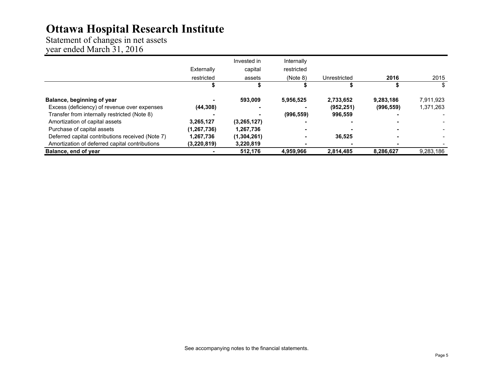Statement of changes in net assets year ended March 31, 2016

|                                                  |               | Invested in | Internally |              |            |           |
|--------------------------------------------------|---------------|-------------|------------|--------------|------------|-----------|
|                                                  | Externally    | capital     | restricted |              |            |           |
|                                                  | restricted    | assets      | (Note 8)   | Unrestricted | 2016       | 2015      |
|                                                  |               |             |            |              |            |           |
| Balance, beginning of year                       |               | 593.009     | 5,956,525  | 2,733,652    | 9,283,186  | 7,911,923 |
| Excess (deficiency) of revenue over expenses     | (44, 308)     |             |            | (952, 251)   | (996, 559) | 1,371,263 |
| Transfer from internally restricted (Note 8)     |               |             | (996, 559) | 996,559      |            |           |
| Amortization of capital assets                   | 3,265,127     | (3,265,127) |            |              |            |           |
| Purchase of capital assets                       | (1, 267, 736) | 1,267,736   |            |              |            |           |
| Deferred capital contributions received (Note 7) | 1,267,736     | (1,304,261) | ۰          | 36,525       |            |           |
| Amortization of deferred capital contributions   | (3,220,819)   | 3,220,819   |            |              |            |           |
| Balance, end of year                             |               | 512.176     | 4.959.966  | 2,814,485    | 8,286,627  | 9,283,186 |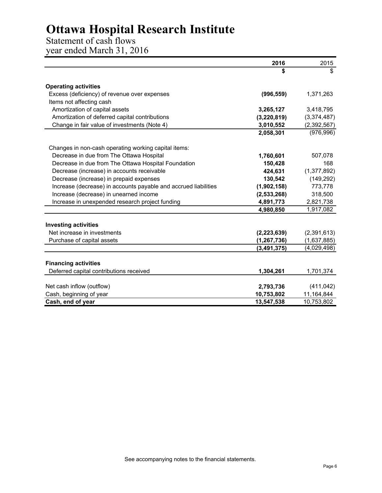### Statement of cash flows

year ended March 31, 2016

|                                                                 | 2016          | 2015                     |
|-----------------------------------------------------------------|---------------|--------------------------|
|                                                                 | \$            | \$                       |
|                                                                 |               |                          |
| <b>Operating activities</b>                                     |               |                          |
| Excess (deficiency) of revenue over expenses                    | (996, 559)    | 1,371,263                |
| Items not affecting cash                                        |               |                          |
| Amortization of capital assets                                  | 3,265,127     | 3,418,795                |
| Amortization of deferred capital contributions                  | (3, 220, 819) | (3,374,487)              |
| Change in fair value of investments (Note 4)                    | 3,010,552     | (2,392,567)              |
|                                                                 | 2,058,301     | (976, 996)               |
| Changes in non-cash operating working capital items:            |               |                          |
| Decrease in due from The Ottawa Hospital                        | 1,760,601     | 507,078                  |
| Decrease in due from The Ottawa Hospital Foundation             | 150,428       | 168                      |
| Decrease (increase) in accounts receivable                      | 424,631       | (1, 377, 892)            |
| Decrease (increase) in prepaid expenses                         | 130,542       | (149, 292)               |
| Increase (decrease) in accounts payable and accrued liabilities | (1,902,158)   | 773,778                  |
| Increase (decrease) in unearned income                          | (2,533,268)   | 318,500                  |
| Increase in unexpended research project funding                 | 4,891,773     | 2,821,738                |
|                                                                 | 4,980,850     | 1,917,082                |
|                                                                 |               |                          |
| <b>Investing activities</b>                                     |               |                          |
| Net increase in investments                                     | (2, 223, 639) | (2,391,613)              |
| Purchase of capital assets                                      | (1, 267, 736) | (1,637,885)              |
|                                                                 | (3, 491, 375) | (4,029,498)              |
| <b>Financing activities</b>                                     |               |                          |
| Deferred capital contributions received                         | 1,304,261     | 1,701,374                |
|                                                                 | 2,793,736     |                          |
| Net cash inflow (outflow)<br>Cash, beginning of year            | 10,753,802    | (411, 042)<br>11,164,844 |
|                                                                 |               |                          |
| Cash, end of year                                               | 13,547,538    | 10,753,802               |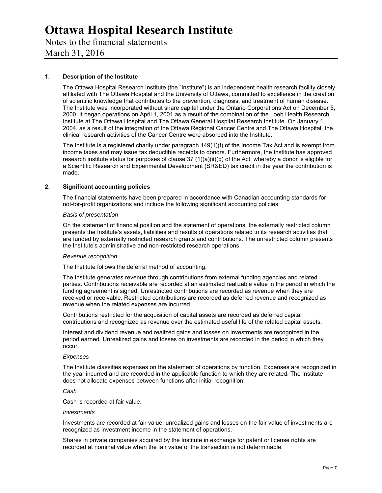Notes to the financial statements March 31, 2016

#### **1. Description of the Institute**

The Ottawa Hospital Research Institute (the "Institute") is an independent health research facility closely affiliated with The Ottawa Hospital and the University of Ottawa, committed to excellence in the creation of scientific knowledge that contributes to the prevention, diagnosis, and treatment of human disease. The Institute was incorporated without share capital under the Ontario Corporations Act on December 5, 2000. It began operations on April 1, 2001 as a result of the combination of the Loeb Health Research Institute at The Ottawa Hospital and The Ottawa General Hospital Research Institute. On January 1, 2004, as a result of the integration of the Ottawa Regional Cancer Centre and The Ottawa Hospital, the clinical research activities of the Cancer Centre were absorbed into the Institute.

The Institute is a registered charity under paragraph 149(1)(f) of the Income Tax Act and is exempt from income taxes and may issue tax deductible receipts to donors. Furthermore, the Institute has approved research institute status for purposes of clause 37 (1)(a)(ii)(b) of the Act, whereby a donor is eligible for a Scientific Research and Experimental Development (SR&ED) tax credit in the year the contribution is made.

#### **2. Significant accounting policies**

The financial statements have been prepared in accordance with Canadian accounting standards for not-for-profit organizations and include the following significant accounting policies:

#### *Basis of presentation*

On the statement of financial position and the statement of operations, the externally restricted column presents the Institute's assets, liabilities and results of operations related to its research activities that are funded by externally restricted research grants and contributions. The unrestricted column presents the Institute's administrative and non-restricted research operations.

#### *Revenue recognition*

The Institute follows the deferral method of accounting.

The Institute generates revenue through contributions from external funding agencies and related parties. Contributions receivable are recorded at an estimated realizable value in the period in which the funding agreement is signed. Unrestricted contributions are recorded as revenue when they are received or receivable. Restricted contributions are recorded as deferred revenue and recognized as revenue when the related expenses are incurred.

Contributions restricted for the acquisition of capital assets are recorded as deferred capital contributions and recognized as revenue over the estimated useful life of the related capital assets.

Interest and dividend revenue and realized gains and losses on investments are recognized in the period earned. Unrealized gains and losses on investments are recorded in the period in which they occur.

#### *Expenses*

The Institute classifies expenses on the statement of operations by function. Expenses are recognized in the year incurred and are recorded in the applicable function to which they are related. The Institute does not allocate expenses between functions after initial recognition.

#### *Cash*

Cash is recorded at fair value.

#### *Investments*

Investments are recorded at fair value, unrealized gains and losses on the fair value of investments are recognized as investment income in the statement of operations.

Shares in private companies acquired by the Institute in exchange for patent or license rights are recorded at nominal value when the fair value of the transaction is not determinable.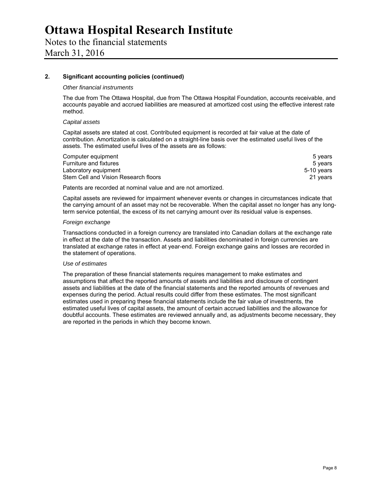Notes to the financial statements March 31, 2016

#### **2. Significant accounting policies (continued)**

#### *Other financial instruments*

The due from The Ottawa Hospital, due from The Ottawa Hospital Foundation, accounts receivable, and accounts payable and accrued liabilities are measured at amortized cost using the effective interest rate method.

#### *Capital assets*

Capital assets are stated at cost. Contributed equipment is recorded at fair value at the date of contribution. Amortization is calculated on a straight-line basis over the estimated useful lives of the assets. The estimated useful lives of the assets are as follows:

| Computer equipment                   | 5 vears    |
|--------------------------------------|------------|
| Furniture and fixtures               | 5 vears    |
| Laboratory equipment                 | 5-10 years |
| Stem Cell and Vision Research floors | 21 years   |

Patents are recorded at nominal value and are not amortized.

Capital assets are reviewed for impairment whenever events or changes in circumstances indicate that the carrying amount of an asset may not be recoverable. When the capital asset no longer has any longterm service potential, the excess of its net carrying amount over its residual value is expenses.

#### *Foreign exchange*

Transactions conducted in a foreign currency are translated into Canadian dollars at the exchange rate in effect at the date of the transaction. Assets and liabilities denominated in foreign currencies are translated at exchange rates in effect at year-end. Foreign exchange gains and losses are recorded in the statement of operations.

#### *Use of estimates*

The preparation of these financial statements requires management to make estimates and assumptions that affect the reported amounts of assets and liabilities and disclosure of contingent assets and liabilities at the date of the financial statements and the reported amounts of revenues and expenses during the period. Actual results could differ from these estimates. The most significant estimates used in preparing these financial statements include the fair value of investments, the estimated useful lives of capital assets, the amount of certain accrued liabilities and the allowance for doubtful accounts. These estimates are reviewed annually and, as adjustments become necessary, they are reported in the periods in which they become known.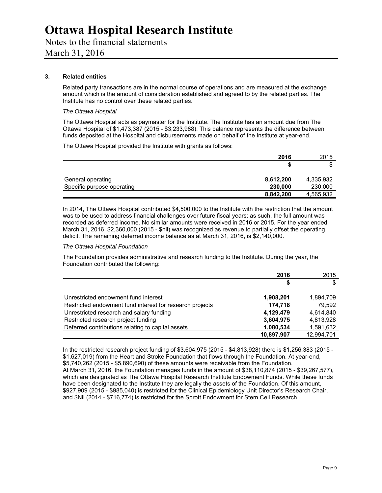Notes to the financial statements

March 31, 2016

#### **3. Related entities**

Related party transactions are in the normal course of operations and are measured at the exchange amount which is the amount of consideration established and agreed to by the related parties. The Institute has no control over these related parties.

#### *The Ottawa Hospital*

The Ottawa Hospital acts as paymaster for the Institute. The Institute has an amount due from The Ottawa Hospital of \$1,473,387 (2015 - \$3,233,988). This balance represents the difference between funds deposited at the Hospital and disbursements made on behalf of the Institute at year-end.

The Ottawa Hospital provided the Institute with grants as follows:

|                            | 2016      | 2015      |
|----------------------------|-----------|-----------|
|                            | æ         | ጦ<br>Œ    |
| General operating          | 8,612,200 | 4,335,932 |
| Specific purpose operating | 230,000   | 230,000   |
|                            | 8,842,200 | 4,565,932 |

In 2014, The Ottawa Hospital contributed \$4,500,000 to the Institute with the restriction that the amount was to be used to address financial challenges over future fiscal years; as such, the full amount was recorded as deferred income. No similar amounts were received in 2016 or 2015. For the year ended March 31, 2016, \$2,360,000 (2015 - \$nil) was recognized as revenue to partially offset the operating deficit. The remaining deferred income balance as at March 31, 2016, is \$2,140,000.

#### *The Ottawa Hospital Foundation*

The Foundation provides administrative and research funding to the Institute. During the year, the Foundation contributed the following:

|                                                          | 2016       | 2015       |
|----------------------------------------------------------|------------|------------|
|                                                          | S          | \$         |
| Unrestricted endowment fund interest                     | 1,908,201  | 1,894,709  |
| Restricted endowment fund interest for research projects | 174,718    | 79.592     |
| Unrestricted research and salary funding                 | 4,129,479  | 4,614,840  |
| Restricted research project funding                      | 3,604,975  | 4,813,928  |
| Deferred contributions relating to capital assets        | 1,080,534  | 1,591,632  |
|                                                          | 10.897.907 | 12,994,701 |

In the restricted research project funding of \$3,604,975 (2015 - \$4,813,928) there is \$1,256,383 (2015 - \$1,627,019) from the Heart and Stroke Foundation that flows through the Foundation. At year-end, \$5,740,262 (2015 - \$5,890,690) of these amounts were receivable from the Foundation. At March 31, 2016, the Foundation manages funds in the amount of \$38,110,874 (2015 - \$39,267,577), which are designated as The Ottawa Hospital Research Institute Endowment Funds. While these funds have been designated to the Institute they are legally the assets of the Foundation. Of this amount, \$927,909 (2015 - \$985,040) is restricted for the Clinical Epidemiology Unit Director's Research Chair, and \$Nil (2014 - \$716,774) is restricted for the Sprott Endowment for Stem Cell Research.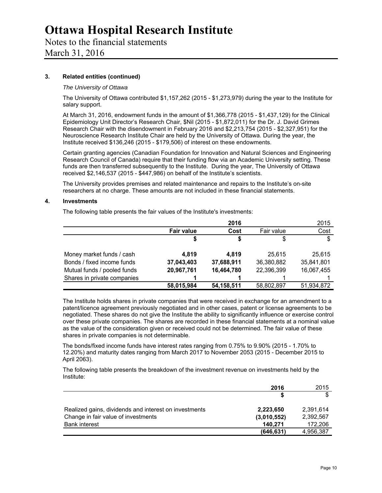### Notes to the financial statements

March 31, 2016

#### **3. Related entities (continued)**

#### *The University of Ottawa*

The University of Ottawa contributed \$1,157,262 (2015 - \$1,273,979) during the year to the Institute for salary support.

At March 31, 2016, endowment funds in the amount of \$1,366,778 (2015 - \$1,437,129) for the Clinical Epidemiology Unit Director's Research Chair, \$Nil (2015 - \$1,872,011) for the Dr. J. David Grimes Research Chair with the disendowment in February 2016 and \$2,213,754 (2015 - \$2,327,951) for the Neuroscience Research Institute Chair are held by the University of Ottawa. During the year, the Institute received \$136,246 (2015 - \$179,506) of interest on these endowments.

Certain granting agencies (Canadian Foundation for Innovation and Natural Sciences and Engineering Research Council of Canada) require that their funding flow via an Academic University setting. These funds are then transferred subsequently to the Institute. During the year, The University of Ottawa received \$2,146,537 (2015 - \$447,986) on behalf of the Institute's scientists.

The University provides premises and related maintenance and repairs to the Institute's on-site researchers at no charge. These amounts are not included in these financial statements.

#### **4. Investments**

The following table presents the fair values of the Institute's investments:

|                             |                   | 2016       |            | 2015       |
|-----------------------------|-------------------|------------|------------|------------|
|                             | <b>Fair value</b> | Cost       | Fair value | Cost       |
|                             | S                 | S          |            | \$         |
| Money market funds / cash   | 4.819             | 4.819      | 25.615     | 25,615     |
| Bonds / fixed income funds  | 37,043,403        | 37,688,911 | 36,380,882 | 35,841,801 |
| Mutual funds / pooled funds | 20,967,761        | 16,464,780 | 22,396,399 | 16,067,455 |
| Shares in private companies |                   |            |            |            |
|                             | 58,015,984        | 54,158,511 | 58,802,897 | 51,934,872 |

The Institute holds shares in private companies that were received in exchange for an amendment to a patent/licence agreement previously negotiated and in other cases, patent or license agreements to be negotiated. These shares do not give the Institute the ability to significantly influence or exercise control over these private companies. The shares are recorded in these financial statements at a nominal value as the value of the consideration given or received could not be determined. The fair value of these shares in private companies is not determinable.

The bonds/fixed income funds have interest rates ranging from 0.75% to 9.90% (2015 - 1.70% to 12.20%) and maturity dates ranging from March 2017 to November 2053 (2015 - December 2015 to April 2063).

The following table presents the breakdown of the investment revenue on investments held by the Institute:

|                                                       | 2016        | 2015      |
|-------------------------------------------------------|-------------|-----------|
|                                                       |             | \$        |
| Realized gains, dividends and interest on investments | 2,223,650   | 2,391,614 |
| Change in fair value of investments                   | (3,010,552) | 2.392.567 |
| <b>Bank interest</b>                                  | 140.271     | 172,206   |
|                                                       | (646, 631)  | 4,956,387 |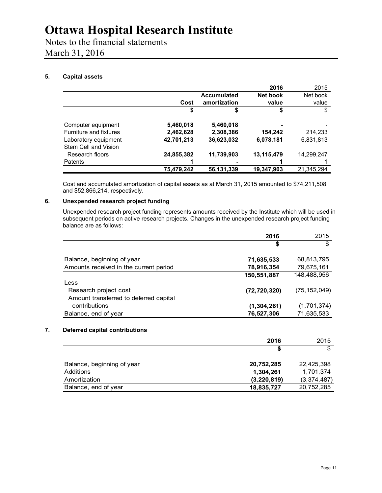Notes to the financial statements March 31, 2016

#### **5. Capital assets**

|                        |            |                    | 2016       | 2015       |
|------------------------|------------|--------------------|------------|------------|
|                        |            | <b>Accumulated</b> | Net book   | Net book   |
|                        | Cost       | amortization       | value      | value      |
|                        | \$         | \$                 | \$         | \$         |
| Computer equipment     | 5,460,018  | 5,460,018          |            |            |
| Furniture and fixtures | 2,462,628  | 2,308,386          | 154,242    | 214,233    |
| Laboratory equipment   | 42.701.213 | 36,623,032         | 6,078,181  | 6.831.813  |
| Stem Cell and Vision   |            |                    |            |            |
| Research floors        | 24,855,382 | 11,739,903         | 13,115,479 | 14,299,247 |
| Patents                |            |                    |            |            |
|                        | 75,479,242 | 56,131,339         | 19,347,903 | 21,345,294 |

Cost and accumulated amortization of capital assets as at March 31, 2015 amounted to \$74,211,508 and \$52,866,214, respectively.

#### **6. Unexpended research project funding**

Unexpended research project funding represents amounts received by the Institute which will be used in subsequent periods on active research projects. Changes in the unexpended research project funding balance are as follows:

|                                        | 2016           | 2015           |
|----------------------------------------|----------------|----------------|
|                                        | \$             | \$             |
| Balance, beginning of year             | 71,635,533     | 68,813,795     |
| Amounts received in the current period | 78,916,354     | 79,675,161     |
|                                        | 150,551,887    | 148,488,956    |
| Less                                   |                |                |
| Research project cost                  | (72, 720, 320) | (75, 152, 049) |
| Amount transferred to deferred capital |                |                |
| contributions                          | (1, 304, 261)  | (1,701,374)    |
| Balance, end of year                   | 76,527,306     | 71,635,533     |

#### **7. Deferred capital contributions**

|                            | 2016          | 2015        |
|----------------------------|---------------|-------------|
|                            | S             | \$          |
| Balance, beginning of year | 20,752,285    | 22,425,398  |
| Additions                  | 1,304,261     | 1,701,374   |
| Amortization               | (3, 220, 819) | (3,374,487) |
| Balance, end of year       | 18,835,727    | 20,752,285  |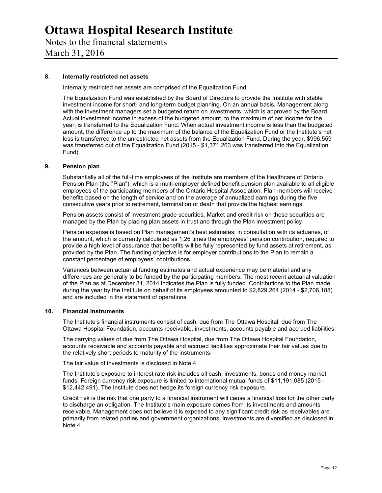Notes to the financial statements March 31, 2016

#### **8. Internally restricted net assets**

Internally restricted net assets are comprised of the Equalization Fund.

The Equalization Fund was established by the Board of Directors to provide the Institute with stable investment income for short- and long-term budget planning. On an annual basis, Management along with the investment managers set a budgeted return on investments, which is approved by the Board. Actual investment income in excess of the budgeted amount, to the maximum of net income for the year, is transferred to the Equalization Fund. When actual investment income is less than the budgeted amount, the difference up to the maximum of the balance of the Equalization Fund or the Institute's net loss is transferred to the unrestricted net assets from the Equalization Fund. During the year, \$996,559 was transferred out of the Equalization Fund (2015 - \$1,371,263 was transferred into the Equalization Fund).

#### **9. Pension plan**

Substantially all of the full-time employees of the Institute are members of the Healthcare of Ontario Pension Plan (the "Plan"), which is a multi-employer defined benefit pension plan available to all eligible employees of the participating members of the Ontario Hospital Association. Plan members will receive benefits based on the length of service and on the average of annualized earnings during the five consecutive years prior to retirement, termination or death that provide the highest earnings.

Pension assets consist of investment grade securities. Market and credit risk on these securities are managed by the Plan by placing plan assets in trust and through the Plan investment policy

Pension expense is based on Plan management's best estimates, in consultation with its actuaries, of the amount, which is currently calculated as 1.26 times the employees' pension contribution, required to provide a high level of assurance that benefits will be fully represented by fund assets at retirement, as provided by the Plan. The funding objective is for employer contributions to the Plan to remain a constant percentage of employees' contributions.

Variances between actuarial funding estimates and actual experience may be material and any differences are generally to be funded by the participating members. The most recent actuarial valuation of the Plan as at December 31, 2014 indicates the Plan is fully funded. Contributions to the Plan made during the year by the Institute on behalf of its employees amounted to \$2,829,264 (2014 - \$2,706,188) and are included in the statement of operations.

#### **10. Financial instruments**

The Institute's financial instruments consist of cash, due from The Ottawa Hospital, due from The Ottawa Hospital Foundation, accounts receivable, investments, accounts payable and accrued liabilities.

The carrying values of due from The Ottawa Hospital, due from The Ottawa Hospital Foundation, accounts receivable and accounts payable and accrued liabilities approximate their fair values due to the relatively short periods to maturity of the instruments.

The fair value of investments is disclosed in Note 4.

The Institute's exposure to interest rate risk includes all cash, investments, bonds and money market funds. Foreign currency risk exposure is limited to international mutual funds of \$11,191,085 (2015 - \$12,442,491). The Institute does not hedge its foreign currency risk exposure.

Credit risk is the risk that one party to a financial instrument will cause a financial loss for the other party to discharge an obligation. The Institute's main exposure comes from its investments and amounts receivable. Management does not believe it is exposed to any significant credit risk as receivables are primarily from related parties and government organizations; investments are diversified as disclosed in Note 4.